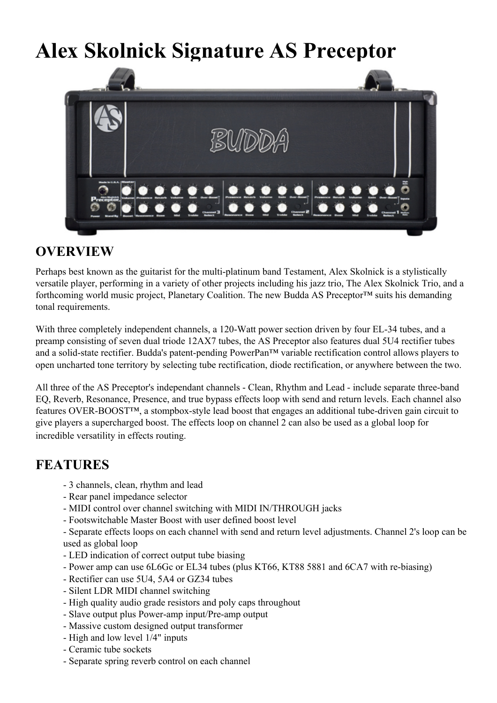## **Alex Skolnick Signature AS Preceptor**



## **OVERVIEW**

Perhaps best known as the guitarist for the multi-platinum band Testament, Alex Skolnick is a stylistically versatile player, performing in a variety of other projects including his jazz trio, The Alex Skolnick Trio, and a forthcoming world music project, Planetary Coalition. The new Budda AS Preceptor™ suits his demanding tonal requirements.

With three completely independent channels, a 120-Watt power section driven by four EL-34 tubes, and a preamp consisting of seven dual triode 12AX7 tubes, the AS Preceptor also features dual 5U4 rectifier tubes and a solid-state rectifier. Budda's patent-pending PowerPan™ variable rectification control allows players to open uncharted tone territory by selecting tube rectification, diode rectification, or anywhere between the two.

All three of the AS Preceptor's independant channels - Clean, Rhythm and Lead - include separate three-band EQ, Reverb, Resonance, Presence, and true bypass effects loop with send and return levels. Each channel also features OVER-BOOST™, a stompbox-style lead boost that engages an additional tube-driven gain circuit to give players a supercharged boost. The effects loop on channel 2 can also be used as a global loop for incredible versatility in effects routing.

## **FEATURES**

- 3 channels, clean, rhythm and lead
- Rear panel impedance selector
- MIDI control over channel switching with MIDI IN/THROUGH jacks
- Footswitchable Master Boost with user defined boost level

- Separate effects loops on each channel with send and return level adjustments. Channel 2's loop can be used as global loop

- LED indication of correct output tube biasing
- Power amp can use 6L6Gc or EL34 tubes (plus KT66, KT88 5881 and 6CA7 with re-biasing)
- Rectifier can use 5U4, 5A4 or GZ34 tubes
- Silent LDR MIDI channel switching
- High quality audio grade resistors and poly caps throughout
- Slave output plus Power-amp input/Pre-amp output
- Massive custom designed output transformer
- High and low level 1/4" inputs
- Ceramic tube sockets
- Separate spring reverb control on each channel